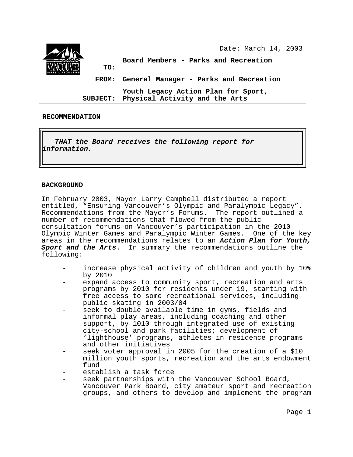

#### **RECOMMENDATION**

I **THAT the Board receives the following report for information.**

#### **BACKGROUND**

In February 2003, Mayor Larry Campbell distributed a report entitled, "Ensuring Vancouver's Olympic and Paralympic Legacy" Recommendations from the Mayor's Forums. The report outlined a number of recommendations that flowed from the public consultation forums on Vancouver's participation in the 2010 Olympic Winter Games and Paralympic Winter Games. One of the key areas in the recommendations relates to an **Action Plan for Youth, Sport and the Arts**. In summary the recommendations outline the following:

- increase physical activity of children and youth by 10% by 2010
- expand access to community sport, recreation and arts programs by 2010 for residents under 19, starting with free access to some recreational services, including public skating in 2003/04
- seek to double available time in gyms, fields and informal play areas, including coaching and other support, by 1010 through integrated use of existing city-school and park facilities; development of 'lighthouse' programs, athletes in residence programs and other initiatives
- seek voter approval in 2005 for the creation of a \$10 million youth sports, recreation and the arts endowment fund
- establish a task force
- seek partnerships with the Vancouver School Board, Vancouver Park Board, city amateur sport and recreation groups, and others to develop and implement the program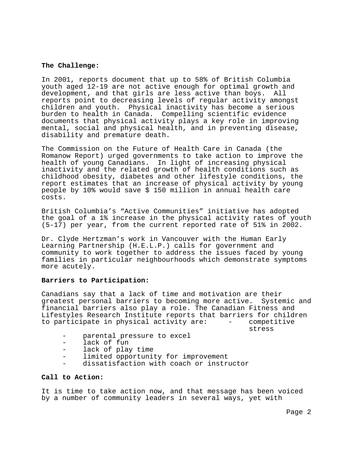#### **The Challenge:**

In 2001, reports document that up to 58% of British Columbia youth aged 12-19 are not active enough for optimal growth and development, and that girls are less active than boys. All reports point to decreasing levels of regular activity amongst children and youth. Physical inactivity has become a serious burden to health in Canada. Compelling scientific evidence documents that physical activity plays a key role in improving mental, social and physical health, and in preventing disease, disability and premature death.

The Commission on the Future of Health Care in Canada (the Romanow Report) urged governments to take action to improve the health of young Canadians. In light of increasing physical inactivity and the related growth of health conditions such as childhood obesity, diabetes and other lifestyle conditions, the report estimates that an increase of physical activity by young people by 10% would save \$ 150 million in annual health care costs.

British Columbia's "Active Communities" initiative has adopted the goal of a 1% increase in the physical activity rates of youth (5-17) per year, from the current reported rate of 51% in 2002.

Dr. Clyde Hertzman's work in Vancouver with the Human Early Learning Partnership (H.E.L.P.) calls for government and community to work together to address the issues faced by young families in particular neighbourhoods which demonstrate symptoms more acutely.

## **Barriers to Participation:**

Canadians say that a lack of time and motivation are their greatest personal barriers to becoming more active. Systemic and financial barriers also play a role. The Canadian Fitness and Lifestyles Research Institute reports that barriers for children to participate in physical activity are: - competitive

stress

- parental pressure to excel
- lack of fun
- lack of play time
- limited opportunity for improvement
- dissatisfaction with coach or instructor

### **Call to Action:**

It is time to take action now, and that message has been voiced by a number of community leaders in several ways, yet with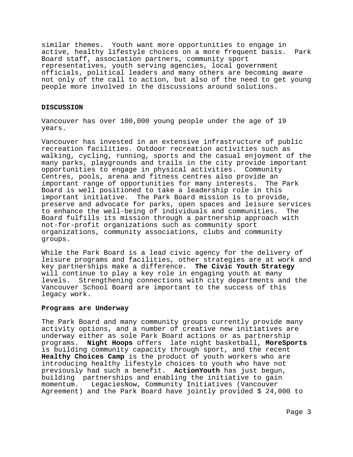similar themes. Youth want more opportunities to engage in active, healthy lifestyle choices on a more frequent basis. Park Board staff, association partners, community sport representatives, youth serving agencies, local government officials, political leaders and many others are becoming aware not only of the call to action, but also of the need to get young people more involved in the discussions around solutions.

#### **DISCUSSION**

Vancouver has over 100,000 young people under the age of 19 years.

Vancouver has invested in an extensive infrastructure of public recreation facilities. Outdoor recreation activities such as walking, cycling, running, sports and the casual enjoyment of the many parks, playgrounds and trails in the city provide important opportunities to engage in physical activities. Community Centres, pools, arena and fitness centres also provide an important range of opportunities for many interests. The Park Board is well positioned to take a leadership role in this important initiative. The Park Board mission is to provide, preserve and advocate for parks, open spaces and leisure services to enhance the well-being of individuals and communities. The Board fulfills its mission through a partnership approach with not-for-profit organizations such as community sport organizations, community associations, clubs and community groups.

While the Park Board is a lead civic agency for the delivery of leisure programs and facilities, other strategies are at work and key partnerships make a difference. **The Civic Youth Strategy** will continue to play a key role in engaging youth at many levels. Strengthening connections with city departments and the Vancouver School Board are important to the success of this legacy work.

#### **Programs are Underway**

The Park Board and many community groups currently provide many activity options, and a number of creative new initiatives are underway either as sole Park Board actions or as partnership programs. **Night Hoops** offers late night basketball, **MoreSports** is building community capacity through sport, and the recent **Healthy Choices Camp** is the product of youth workers who are introducing healthy lifestyle choices to youth who have not previously had such a benefit. **ActionYouth** has just begun, building partnerships and enabling the initiative to gain momentum. LegaciesNow, Community Initiatives (Vancouver Agreement) and the Park Board have jointly provided \$ 24,000 to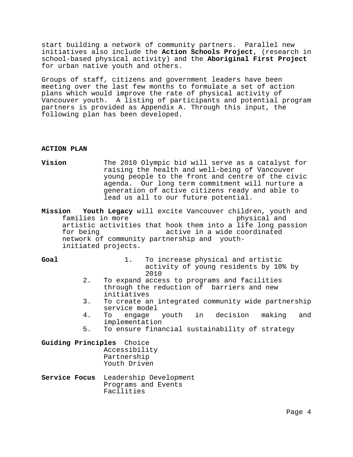start building a network of community partners. Parallel new initiatives also include the **Action Schools Project**, (research in school-based physical activity) and the **Aboriginal First Project** for urban native youth and others.

Groups of staff, citizens and government leaders have been meeting over the last few months to formulate a set of action plans which would improve the rate of physical activity of Vancouver youth. A listing of participants and potential program partners is provided as Appendix A. Through this input, the following plan has been developed.

#### **ACTION PLAN**

**Vision** The 2010 Olympic bid will serve as a catalyst for raising the health and well-being of Vancouver young people to the front and centre of the civic agenda. Our long term commitment will nurture a generation of active citizens ready and able to lead us all to our future potential.

**Mission Youth Legacy** will excite Vancouver children, youth and families in more  $\rho$  physical and artistic activities that hook them into a life long passion for being active in a wide coordinated network of community partnership and youthinitiated projects.

**Goal** 1. To increase physical and artistic activity of young residents by 10% by 2010

- 2. To expand access to programs and facilities through the reduction of barriers and new initiatives
- 3. To create an integrated community wide partnership service model
- 4. To engage youth in decision making and implementation
- 5. To ensure financial sustainability of strategy
- **Guiding Principles** Choice Accessibility Partnership Youth Driven
- **Service Focus** Leadership Development Programs and Events Facilities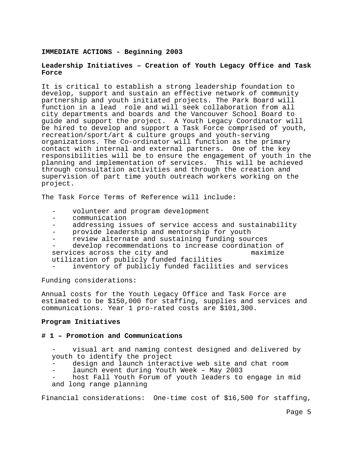#### **IMMEDIATE ACTIONS - Beginning 2003**

## **Leadership Initiatives – Creation of Youth Legacy Office and Task Force**

It is critical to establish a strong leadership foundation to develop, support and sustain an effective network of community partnership and youth initiated projects. The Park Board will function in a lead role and will seek collaboration from all city departments and boards and the Vancouver School Board to guide and support the project. A Youth Legacy Coordinator will be hired to develop and support a Task Force comprised of youth, recreation/sport/art & culture groups and youth-serving organizations. The Co-ordinator will function as the primary contact with internal and external partners. One of the key responsibilities will be to ensure the engagement of youth in the planning and implementation of services. This will be achieved through consultation activities and through the creation and supervision of part time youth outreach workers working on the project.

The Task Force Terms of Reference will include:

- volunteer and program development
- communication
- addressing issues of service access and sustainability
- provide leadership and mentorship for youth
- review alternate and sustaining funding sources

develop recommendations to increase coordination of services across the city and maximize utilization of publicly funded facilities

inventory of publicly funded facilities and services

Funding considerations:

Annual costs for the Youth Legacy Office and Task Force are estimated to be \$150,000 for staffing, supplies and services and communications. Year 1 pro-rated costs are \$101,300.

#### **Program Initiatives**

#### **# 1 – Promotion and Communications**

- visual art and naming contest designed and delivered by youth to identify the project
- design and launch interactive web site and chat room
- launch event during Youth Week May 2003
- host Fall Youth Forum of youth leaders to engage in mid and long range planning

Financial considerations: One-time cost of \$16,500 for staffing,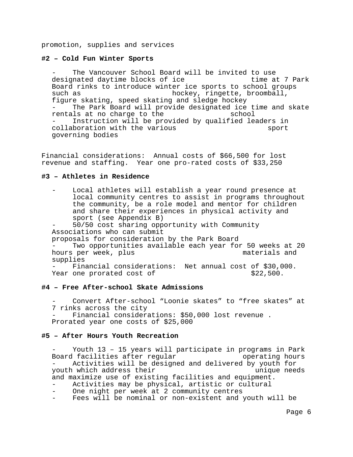promotion, supplies and services

#### **#2 – Cold Fun Winter Sports**

The Vancouver School Board will be invited to use<br>mated daytime blocks of ice fine at 7 Park designated daytime blocks of ice Board rinks to introduce winter ice sports to school groups such as  $h$  hockey, ringette, broomball, figure skating, speed skating and sledge hockey The Park Board will provide designated ice time and skate rentals at no charge to the school Instruction will be provided by qualified leaders in collaboration with the various sport governing bodies

Financial considerations: Annual costs of \$66,500 for lost revenue and staffing. Year one pro-rated costs of \$33,250

#### **#3 – Athletes in Residence**

| Local athletes will establish a year round presence at   |  |  |  |  |  |
|----------------------------------------------------------|--|--|--|--|--|
| local community centres to assist in programs throughout |  |  |  |  |  |
| the community, be a role model and mentor for children   |  |  |  |  |  |
| and share their experiences in physical activity and     |  |  |  |  |  |
| sport (see Appendix B)                                   |  |  |  |  |  |
| 50/50 cost sharing opportunity with Community            |  |  |  |  |  |
| Associations who can submit                              |  |  |  |  |  |
| proposals for consideration by the Park Board            |  |  |  |  |  |
| Two opportunities available each year for 50 weeks at 20 |  |  |  |  |  |
| materials and<br>hours per week, plus                    |  |  |  |  |  |
| supplies                                                 |  |  |  |  |  |
| Financial considerations: Net annual cost of \$30,000.   |  |  |  |  |  |
| \$22,500.<br>Year one prorated cost of                   |  |  |  |  |  |

#### **#4 – Free After-school Skate Admissions**

Convert After-school "Loonie skates" to "free skates" at 7 rinks across the city

- Financial considerations: \$50,000 lost revenue . Prorated year one costs of \$25,000

#### **#5 – After Hours Youth Recreation**

Youth 13 - 15 years will participate in programs in Park Board facilities after regular Theorem operating hours Activities will be designed and delivered by youth for youth which address their value of the unique needs and maximize use of existing facilities and equipment. Activities may be physical, artistic or cultural One night per week at 2 community centres

Fees will be nominal or non-existent and youth will be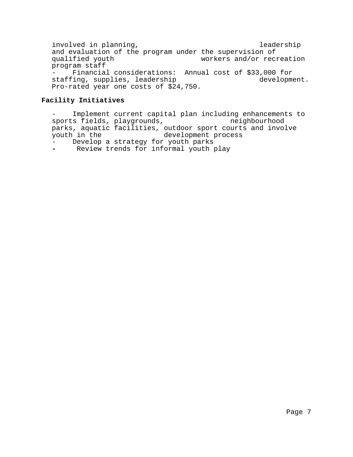involved in planning, and the set of the leadership and evaluation of the program under the supervision of<br>qualified youth workers and/or recu workers and/or recreation program staff Financial considerations: Annual cost of \$33,000 for<br>ing, supplies, leadership development. staffing, supplies, leadership Pro-rated year one costs of \$24,750.

# **Facility Initiatives**

- Implement current capital plan including enhancements to<br>sports fields, playgrounds, enhancement in the neighbourhood sports fields, playgrounds, parks, aquatic facilities, outdoor sport courts and involve<br>youth in the development process development process - Develop a strategy for youth parks **-** Review trends for informal youth play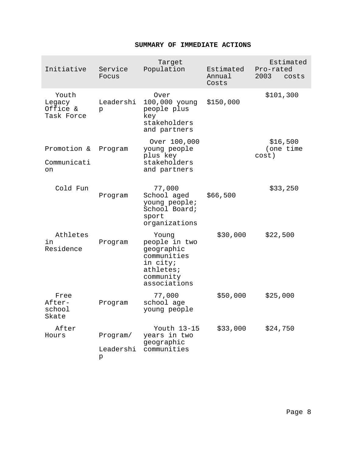# **SUMMARY OF IMMEDIATE ACTIONS**

|  | Initiative                                | Service<br>Focus | Target<br>Population                                                                                      | Estimated<br>Annual<br>Costs | Estimated<br>Pro-rated<br>2003<br>costs |
|--|-------------------------------------------|------------------|-----------------------------------------------------------------------------------------------------------|------------------------------|-----------------------------------------|
|  | Youth<br>Legacy<br>Office &<br>Task Force | Leadershi<br>p   | Over<br>100,000 young<br>people plus<br>key<br>stakeholders<br>and partners                               | \$150,000                    | \$101,300                               |
|  | Promotion &                               | Program          | Over 100,000<br>young people<br>plus key<br>stakeholders<br>and partners                                  |                              | \$16,500<br>(one time                   |
|  | Communicati<br>on                         |                  |                                                                                                           |                              | cost)                                   |
|  | Cold Fun                                  | Program          | 77,000<br>School aged<br>young people;<br>School Board;<br>sport<br>organizations                         | \$66,500                     | \$33,250                                |
|  | Athletes<br>in<br>Residence               | Program          | Young<br>people in two<br>geographic<br>communities<br>in city;<br>athletes;<br>community<br>associations | \$30,000                     | \$22,500                                |
|  | Free<br>After-<br>school<br>Skate         | Program          | 77,000<br>school age<br>young people                                                                      | \$50,000                     | \$25,000                                |
|  | After<br>Hours                            | Program/         | Youth 13-15<br>years in two<br>geographic<br>communities                                                  | \$33,000                     | \$24,750                                |
|  |                                           | Leadershi<br>р   |                                                                                                           |                              |                                         |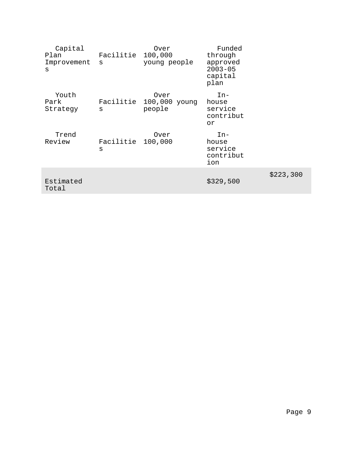| Capital<br>Plan<br>Improvement<br>S | Facilitie<br>S | Over<br>100,000<br>young people           | Funded<br>through<br>approved<br>$2003 - 05$<br>capital<br>plan |           |
|-------------------------------------|----------------|-------------------------------------------|-----------------------------------------------------------------|-----------|
| Youth<br>Park<br>Strategy           | S              | Over<br>Facilitie 100,000 young<br>people | $In-$<br>house<br>service<br>contribut<br>or                    |           |
| Trend<br>Review                     | Facilitie<br>S | Over<br>100,000                           | $In-$<br>house<br>service<br>contribut<br>ion                   |           |
| Estimated<br>Total                  |                |                                           | \$329,500                                                       | \$223,300 |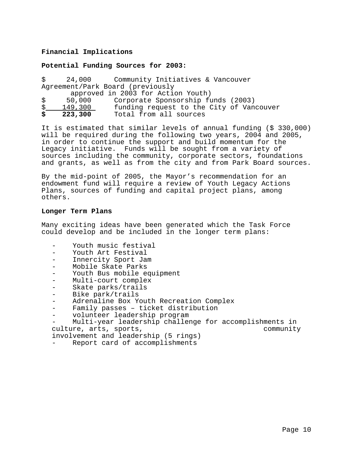# **Financial Implications**

## **Potential Funding Sources for 2003:**

|                                    |           | \$ 24,000 Community Initiatives & Vancouver |  |  |  |  |
|------------------------------------|-----------|---------------------------------------------|--|--|--|--|
| Agreement/Park Board (previously   |           |                                             |  |  |  |  |
| approved in 2003 for Action Youth) |           |                                             |  |  |  |  |
|                                    | \$50,000  | Corporate Sponsorship funds (2003)          |  |  |  |  |
| \$                                 | 149,300   | funding request to the City of Vancouver    |  |  |  |  |
|                                    | \$223,300 | Total from all sources                      |  |  |  |  |

It is estimated that similar levels of annual funding (\$ 330,000) will be required during the following two years, 2004 and 2005, in order to continue the support and build momentum for the Legacy initiative. Funds will be sought from a variety of sources including the community, corporate sectors, foundations and grants, as well as from the city and from Park Board sources.

By the mid-point of 2005, the Mayor's recommendation for an endowment fund will require a review of Youth Legacy Actions Plans, sources of funding and capital project plans, among others.

#### **Longer Term Plans**

Many exciting ideas have been generated which the Task Force could develop and be included in the longer term plans:

- Youth music festival
- Youth Art Festival
- Innercity Sport Jam
- Mobile Skate Parks
- Youth Bus mobile equipment
- Multi-court complex
- Skate parks/trails
- Bike park/trails
- Adrenaline Box Youth Recreation Complex
- Family passes ticket distribution
- volunteer leadership program

Multi-year leadership challenge for accomplishments in culture, arts, sports, the community

involvement and leadership (5 rings)

Report card of accomplishments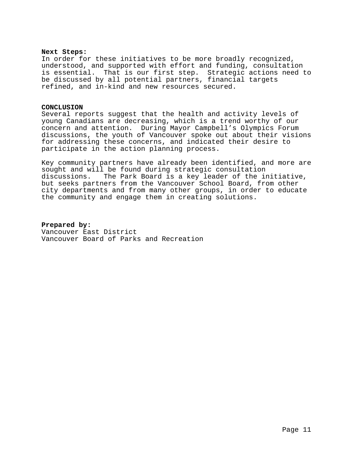#### **Next Steps:**

In order for these initiatives to be more broadly recognized, understood, and supported with effort and funding, consultation is essential. That is our first step. Strategic actions need to be discussed by all potential partners, financial targets refined, and in-kind and new resources secured.

#### **CONCLUSION**

Several reports suggest that the health and activity levels of young Canadians are decreasing, which is a trend worthy of our concern and attention. During Mayor Campbell's Olympics Forum discussions, the youth of Vancouver spoke out about their visions for addressing these concerns, and indicated their desire to participate in the action planning process.

Key community partners have already been identified, and more are sought and will be found during strategic consultation discussions. The Park Board is a key leader of the initiative, but seeks partners from the Vancouver School Board, from other city departments and from many other groups, in order to educate the community and engage them in creating solutions.

**Prepared by:** Vancouver East District Vancouver Board of Parks and Recreation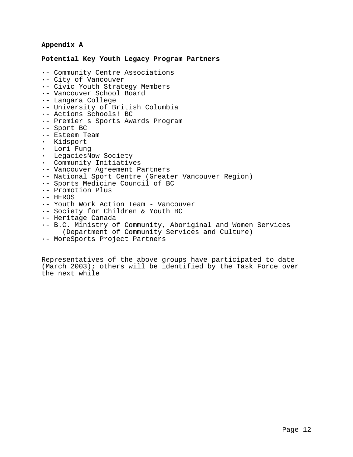## **Appendix A**

#### **Potential Key Youth Legacy Program Partners**

- ·- Community Centre Associations
- ·- City of Vancouver
- ·- Civic Youth Strategy Members
- ·- Vancouver School Board
- ·- Langara College
- ·- University of British Columbia
- ·- Actions Schools! BC
- ·- Premier s Sports Awards Program
- ·- Sport BC
- ·- Esteem Team
- ·- Kidsport
- ·- Lori Fung
- ·- LegaciesNow Society
- ·- Community Initiatives
- ·- Vancouver Agreement Partners
- ·- National Sport Centre (Greater Vancouver Region)
- ·- Sports Medicine Council of BC
- ·- Promotion Plus
- ·- HEROS
- ·- Youth Work Action Team Vancouver
- ·- Society for Children & Youth BC
- ·- Heritage Canada
- ·- B.C. Ministry of Community, Aboriginal and Women Services (Department of Community Services and Culture)
- ·- MoreSports Project Partners

Representatives of the above groups have participated to date (March 2003); others will be identified by the Task Force over the next while